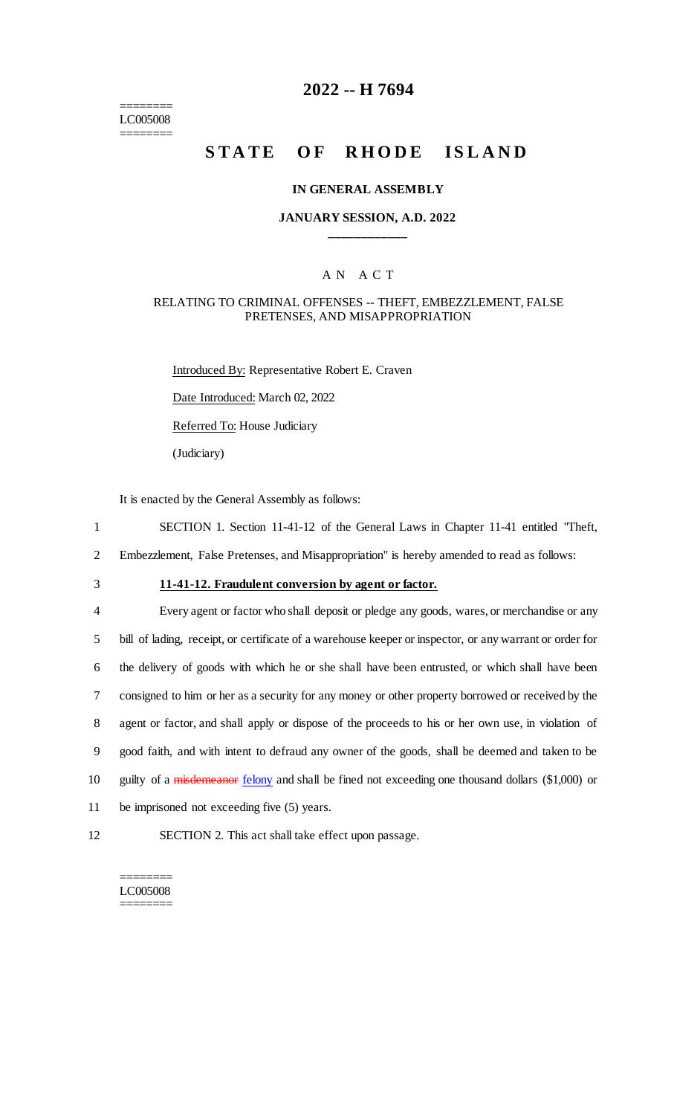======== LC005008 ========

# **2022 -- H 7694**

# **STATE OF RHODE ISLAND**

#### **IN GENERAL ASSEMBLY**

### **JANUARY SESSION, A.D. 2022 \_\_\_\_\_\_\_\_\_\_\_\_**

### A N A C T

### RELATING TO CRIMINAL OFFENSES -- THEFT, EMBEZZLEMENT, FALSE PRETENSES, AND MISAPPROPRIATION

Introduced By: Representative Robert E. Craven Date Introduced: March 02, 2022 Referred To: House Judiciary (Judiciary)

It is enacted by the General Assembly as follows:

1 SECTION 1. Section 11-41-12 of the General Laws in Chapter 11-41 entitled "Theft,

2 Embezzlement, False Pretenses, and Misappropriation" is hereby amended to read as follows:

# 3 **11-41-12. Fraudulent conversion by agent or factor.**

 Every agent or factor who shall deposit or pledge any goods, wares, or merchandise or any bill of lading, receipt, or certificate of a warehouse keeper or inspector, or any warrant or order for the delivery of goods with which he or she shall have been entrusted, or which shall have been consigned to him or her as a security for any money or other property borrowed or received by the agent or factor, and shall apply or dispose of the proceeds to his or her own use, in violation of good faith, and with intent to defraud any owner of the goods, shall be deemed and taken to be 10 guilty of a *misdemeanor* felony and shall be fined not exceeding one thousand dollars (\$1,000) or be imprisoned not exceeding five (5) years.

12 SECTION 2. This act shall take effect upon passage.

#### ======== LC005008 ========